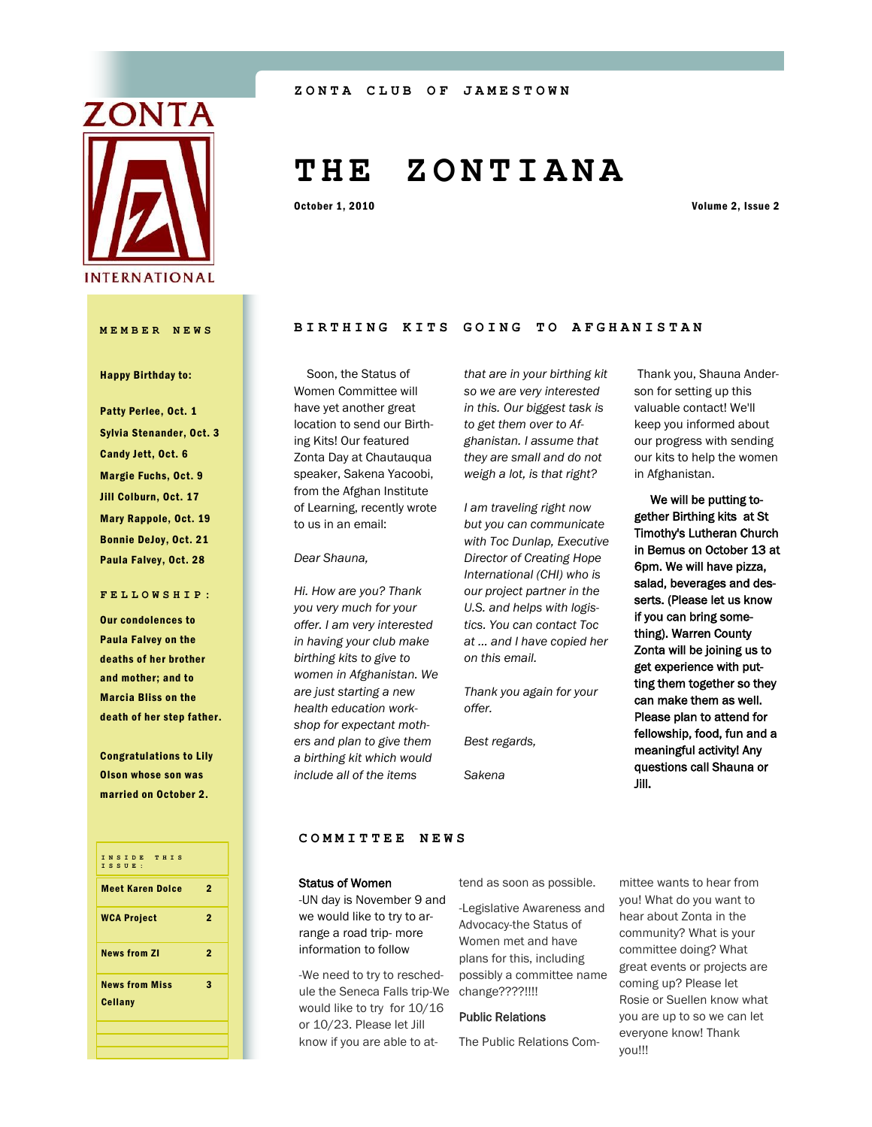

# **T H E Z O N T I A N A**

October 1, 2010 Volume 2, Issue 2

#### Happy Birthday to:

Patty Perlee, Oct. 1 Sylvia Stenander, Oct. 3 Candy Jett, Oct. 6 Margie Fuchs, Oct. 9 Jill Colburn, Oct. 17 Mary Rappole, Oct. 19 Bonnie DeJoy, Oct. 21 Paula Falvey, Oct. 28

#### **FELLOWSHIP:**

Our condolences to Paula Falvey on the deaths of her brother and mother; and to Marcia Bliss on the death of her step father.

Congratulations to Lily Olson whose son was married on October 2.



# **MEMBER NEWS BIRTHING KITS GOING TO AFGHANISTAN**

 Soon, the Status of Women Committee will have yet another great location to send our Birthing Kits! Our featured Zonta Day at Chautauqua speaker, Sakena Yacoobi, from the Afghan Institute of Learning, recently wrote to us in an email:

#### *Dear Shauna,*

*Hi. How are you? Thank you very much for your offer. I am very interested in having your club make birthing kits to give to women in Afghanistan. We are just starting a new health education workshop for expectant mothers and plan to give them a birthing kit which would include all of the items* 

*that are in your birthing kit so we are very interested in this. Our biggest task is to get them over to Afghanistan. I assume that they are small and do not weigh a lot, is that right?*

*I am traveling right now but you can communicate with Toc Dunlap, Executive Director of Creating Hope International (CHI) who is our project partner in the U.S. and helps with logistics. You can contact Toc at ... and I have copied her on this email.*

*Thank you again for your offer.*

*Best regards,*

*Sakena*

Thank you, Shauna Anderson for setting up this valuable contact! We'll keep you informed about our progress with sending our kits to help the women in Afghanistan.

We will be putting together Birthing kits at St Timothy's Lutheran Church in Bemus on October 13 at 6pm. We will have pizza, salad, beverages and desserts. (Please let us know if you can bring something). Warren County Zonta will be joining us to get experience with putting them together so they can make them as well. Please plan to attend for fellowship, food, fun and a meaningful activity! Any questions call Shauna or Jill.

#### **COMMITTEE NEWS**

#### Status of Women

-UN day is November 9 and we would like to try to arrange a road trip- more information to follow

-We need to try to reschedule the Seneca Falls trip-We would like to try for 10/16 or 10/23. Please let Jill know if you are able to attend as soon as possible.

-Legislative Awareness and Advocacy-the Status of Women met and have plans for this, including possibly a committee name change????!!!!

#### Public Relations

The Public Relations Com-

mittee wants to hear from you! What do you want to hear about Zonta in the community? What is your committee doing? What great events or projects are coming up? Please let Rosie or Suellen know what you are up to so we can let everyone know! Thank you!!!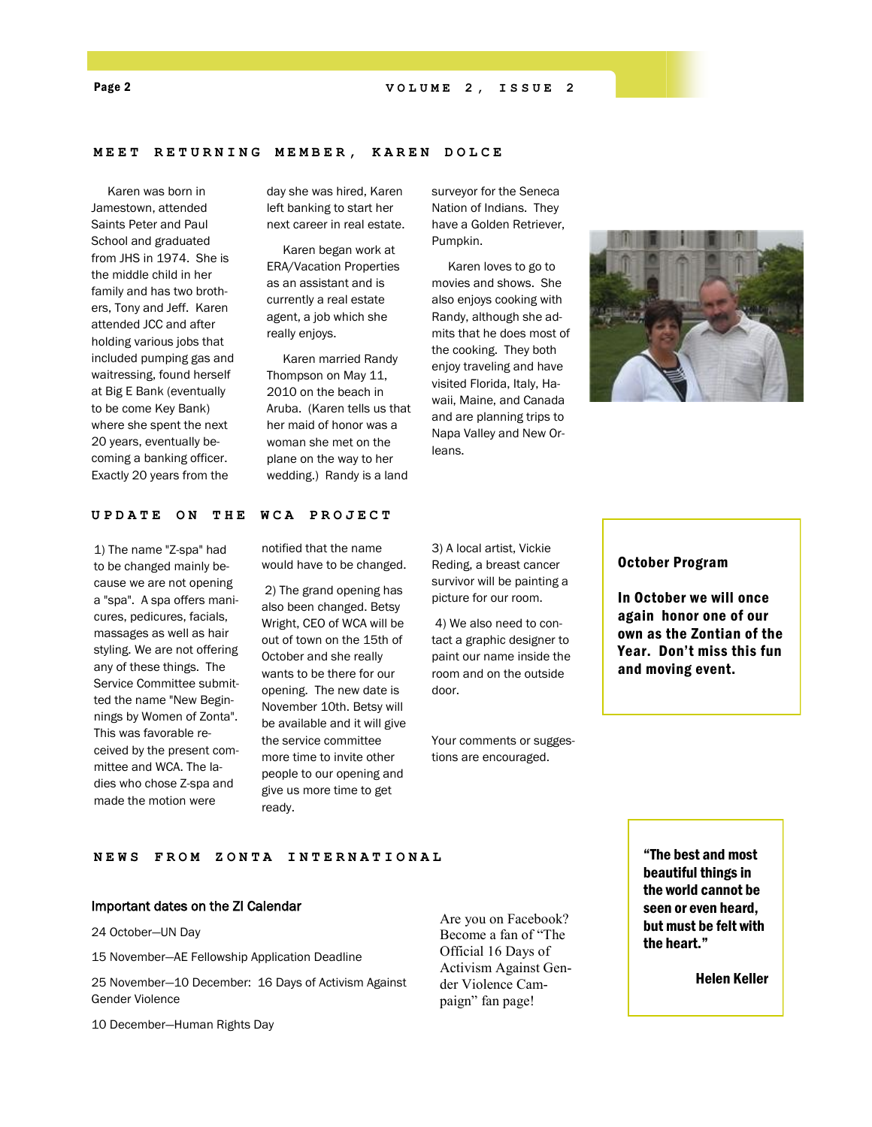#### MEET RETURNING MEMBER, KAREN DOLCE

 Karen was born in Jamestown, attended Saints Peter and Paul School and graduated from JHS in 1974. She is the middle child in her family and has two brothers, Tony and Jeff. Karen attended JCC and after holding various jobs that included pumping gas and waitressing, found herself at Big E Bank (eventually to be come Key Bank) where she spent the next 20 years, eventually becoming a banking officer. Exactly 20 years from the

day she was hired, Karen left banking to start her next career in real estate.

 Karen began work at ERA/Vacation Properties as an assistant and is currently a real estate agent, a job which she really enjoys.

 Karen married Randy Thompson on May 11, 2010 on the beach in Aruba. (Karen tells us that her maid of honor was a woman she met on the plane on the way to her wedding.) Randy is a land

surveyor for the Seneca Nation of Indians. They have a Golden Retriever, Pumpkin.

 Karen loves to go to movies and shows. She also enjoys cooking with Randy, although she admits that he does most of the cooking. They both enjoy traveling and have visited Florida, Italy, Hawaii, Maine, and Canada and are planning trips to Napa Valley and New Orleans.



#### UPDATE ON THE WCA PROJECT

1) The name "Z-spa" had to be changed mainly because we are not opening a "spa". A spa offers manicures, pedicures, facials, massages as well as hair styling. We are not offering any of these things. The Service Committee submitted the name "New Beginnings by Women of Zonta". This was favorable received by the present committee and WCA. The ladies who chose Z-spa and made the motion were

notified that the name would have to be changed.

2) The grand opening has also been changed. Betsy Wright, CEO of WCA will be out of town on the 15th of October and she really wants to be there for our opening. The new date is November 10th. Betsy will be available and it will give the service committee more time to invite other people to our opening and give us more time to get ready.

3) A local artist, Vickie Reding, a breast cancer survivor will be painting a picture for our room.

4) We also need to contact a graphic designer to paint our name inside the room and on the outside door.

Your comments or suggestions are encouraged.

#### October Program

In October we will once again honor one of our own as the Zontian of the Year. Don't miss this fun and moving event.

**NEWS FROM ZONTA INTE R N A T I O N A L**

#### Important dates on the ZI Calendar

24 October—UN Day

15 November—AE Fellowship Application Deadline

25 November—10 December: 16 Days of Activism Against Gender Violence

10 December—Human Rights Day

Are you on Facebook? Become a fan of "The Official 16 Days of Activism Against Gender Violence Campaign" fan page!

"The best and most beautiful things in the world cannot be seen or even heard, but must be felt with the heart."

Helen Keller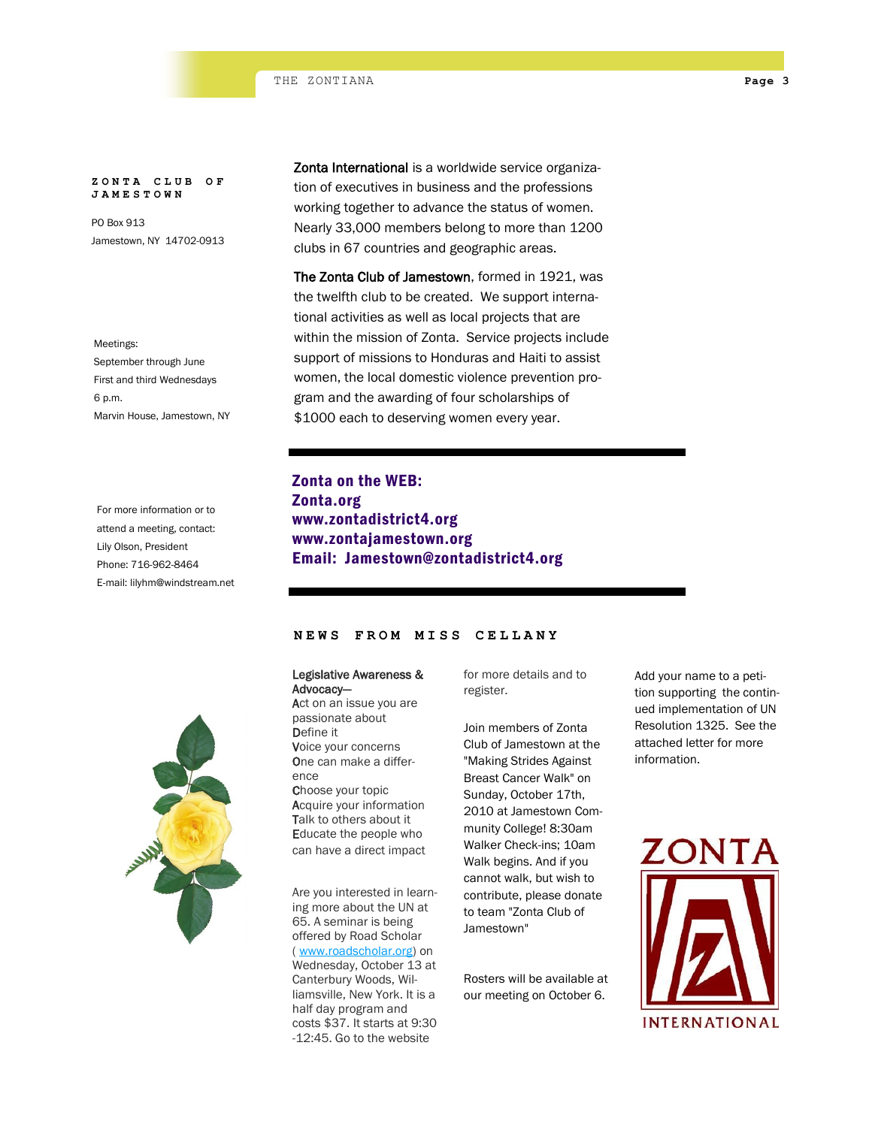#### **ZONTA CLUB OF JAMESTOWN**

PO Box 913 Jamestown, NY 14702-0913

Meetings: September through June First and third Wednesdays 6 p.m. Marvin House, Jamestown, NY

For more information or to attend a meeting, contact: Lily Olson, President Phone: 716-962-8464 E-mail: lilyhm@windstream.net Zonta International is a worldwide service organization of executives in business and the professions working together to advance the status of women. Nearly 33,000 members belong to more than 1200 clubs in 67 countries and geographic areas.

The Zonta Club of Jamestown, formed in 1921, was the twelfth club to be created. We support international activities as well as local projects that are within the mission of Zonta. Service projects include support of missions to Honduras and Haiti to assist women, the local domestic violence prevention program and the awarding of four scholarships of \$1000 each to deserving women every year.

## Zonta on the WEB: Zonta.org www.zontadistrict4.org www.zontajamestown.org Email: Jamestown@zontadistrict4.org



### **NEWS FROM MISS CELLA N Y**

#### Legislative Awareness & Advocacy—

Act on an issue you are passionate about Define it Voice your concerns One can make a difference Choose your topic Acquire your information Talk to others about it Educate the people who can have a direct impact

Are you interested in learning more about the UN at 65. A seminar is being offered by Road Scholar ( [www.roadscholar.org\)](http://www.roadscholar.org/) on Wednesday, October 13 at Canterbury Woods, Williamsville, New York. It is a half day program and costs \$37. It starts at 9:30 -12:45. Go to the website

for more details and to register.

Join members of Zonta Club of Jamestown at the "Making Strides Against Breast Cancer Walk" on Sunday, October 17th, 2010 at Jamestown Community College! 8:30am Walker Check-ins; 10am Walk begins. And if you cannot walk, but wish to contribute, please donate to team "Zonta Club of Jamestown"

Rosters will be available at our meeting on October 6.

Add your name to a petition supporting the continued implementation of UN Resolution 1325. See the attached letter for more information.